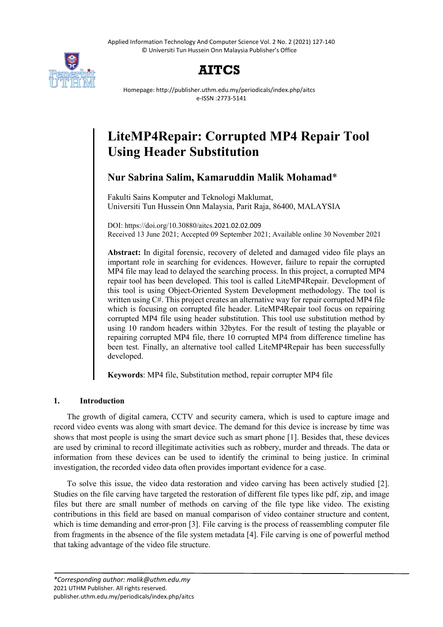Applied Information Technology And Computer Science Vol. 2 No. 2 (2021) 127-140 © Universiti Tun Hussein Onn Malaysia Publisher's Office



## **AITCS**

Homepage: http://publisher.uthm.edu.my/periodicals/index.php/aitcs e-ISSN :2773-5141

# **LiteMP4Repair: Corrupted MP4 Repair Tool Using Header Substitution**

## **Nur Sabrina Salim, Kamaruddin Malik Mohamad**\*

Fakulti Sains Komputer and Teknologi Maklumat, Universiti Tun Hussein Onn Malaysia, Parit Raja, 86400, MALAYSIA

DOI: https://doi.org/10.30880/aitcs.2021.02.02.009 Received 13 June 2021; Accepted 09 September 2021; Available online 30 November 2021

**Abstract:** In digital forensic, recovery of deleted and damaged video file plays an important role in searching for evidences. However, failure to repair the corrupted MP4 file may lead to delayed the searching process. In this project, a corrupted MP4 repair tool has been developed. This tool is called LiteMP4Repair. Development of this tool is using Object-Oriented System Development methodology. The tool is written using C#. This project creates an alternative way for repair corrupted MP4 file which is focusing on corrupted file header. LiteMP4Repair tool focus on repairing corrupted MP4 file using header substitution. This tool use substitution method by using 10 random headers within 32bytes. For the result of testing the playable or repairing corrupted MP4 file, there 10 corrupted MP4 from difference timeline has been test. Finally, an alternative tool called LiteMP4Repair has been successfully developed.

**Keywords**: MP4 file, Substitution method, repair corrupter MP4 file

## **1. Introduction**

The growth of digital camera, CCTV and security camera, which is used to capture image and record video events was along with smart device. The demand for this device is increase by time was shows that most people is using the smart device such as smart phone [1]. Besides that, these devices are used by criminal to record illegitimate activities such as robbery, murder and threads. The data or information from these devices can be used to identify the criminal to being justice. In criminal investigation, the recorded video data often provides important evidence for a case.

To solve this issue, the video data restoration and video carving has been actively studied [2]. Studies on the file carving have targeted the restoration of different file types like pdf, zip, and image files but there are small number of methods on carving of the file type like video. The existing contributions in this field are based on manual comparison of video container structure and content, which is time demanding and error-pron [3]. File carving is the process of reassembling computer file from fragments in the absence of the file system metadata [4]. File carving is one of powerful method that taking advantage of the video file structure.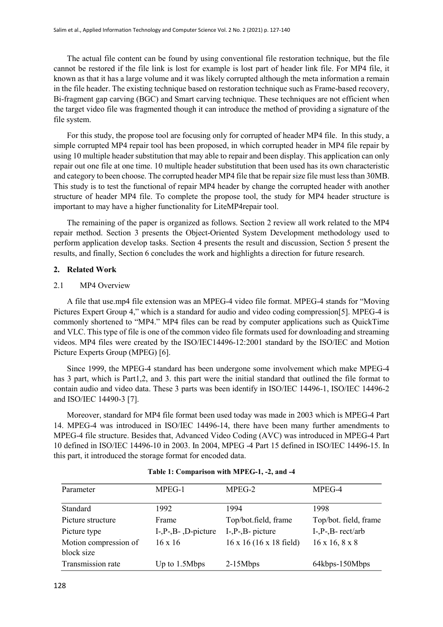The actual file content can be found by using conventional file restoration technique, but the file cannot be restored if the file link is lost for example is lost part of header link file. For MP4 file, it known as that it has a large volume and it was likely corrupted although the meta information a remain in the file header. The existing technique based on restoration technique such as Frame-based recovery, Bi-fragment gap carving (BGC) and Smart carving technique. These techniques are not efficient when the target video file was fragmented though it can introduce the method of providing a signature of the file system.

For this study, the propose tool are focusing only for corrupted of header MP4 file. In this study, a simple corrupted MP4 repair tool has been proposed, in which corrupted header in MP4 file repair by using 10 multiple header substitution that may able to repair and been display. This application can only repair out one file at one time. 10 multiple header substitution that been used has its own characteristic and category to been choose. The corrupted header MP4 file that be repair size file must less than 30MB. This study is to test the functional of repair MP4 header by change the corrupted header with another structure of header MP4 file. To complete the propose tool, the study for MP4 header structure is important to may have a higher functionality for LiteMP4repair tool.

The remaining of the paper is organized as follows. Section 2 review all work related to the MP4 repair method. Section 3 presents the Object-Oriented System Development methodology used to perform application develop tasks. Section 4 presents the result and discussion, Section 5 present the results, and finally, Section 6 concludes the work and highlights a direction for future research.

#### **2. Related Work**

#### 2.1 MP4 Overview

A file that use.mp4 file extension was an MPEG-4 video file format. MPEG-4 stands for "Moving Pictures Expert Group 4," which is a standard for audio and video coding compression[5]. MPEG-4 is commonly shortened to "MP4." MP4 files can be read by computer applications such as QuickTime and VLC. This type of file is one of the common video file formats used for downloading and streaming videos. MP4 files were created by the ISO/IEC14496-12:2001 standard by the ISO/IEC and Motion Picture Experts Group (MPEG) [6].

Since 1999, the MPEG-4 standard has been undergone some involvement which make MPEG-4 has 3 part, which is Part1,2, and 3. this part were the initial standard that outlined the file format to contain audio and video data. These 3 parts was been identify in ISO/IEC 14496-1, ISO/IEC 14496-2 and ISO/IEC 14490-3 [7].

Moreover, standard for MP4 file format been used today was made in 2003 which is MPEG-4 Part 14. MPEG-4 was introduced in ISO/IEC 14496-14, there have been many further amendments to MPEG-4 file structure. Besides that, Advanced Video Coding (AVC) was introduced in MPEG-4 Part 10 defined in ISO/IEC 14496-10 in 2003. In 2004, MPEG -4 Part 15 defined in ISO/IEC 14496-15. In this part, it introduced the storage format for encoded data.

| Parameter                           | MPEG-1               | MPEG-2                         | MPEG-4                     |
|-------------------------------------|----------------------|--------------------------------|----------------------------|
| Standard                            | 1992                 | 1994                           | 1998                       |
| Picture structure                   | Frame                | Top/bot.field, frame           | Top/bot. field, frame      |
| Picture type                        | $I-P-B-$ , D-picture | $I-, P-, B-$ picture           | $I-P-R-rect/arb$           |
| Motion compression of<br>block size | $16 \times 16$       | $16 \times 16$ (16 x 18 field) | $16 \times 16, 8 \times 8$ |
| Transmission rate                   | Up to 1.5Mbps        | $2-15Mbps$                     | 64kbps-150Mbps             |

#### **Table 1: Comparison with MPEG-1, -2, and -4**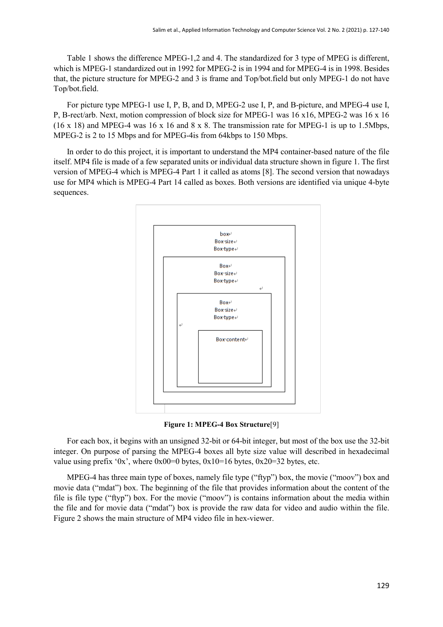Table 1 shows the difference MPEG-1,2 and 4. The standardized for 3 type of MPEG is different, which is MPEG-1 standardized out in 1992 for MPEG-2 is in 1994 and for MPEG-4 is in 1998. Besides that, the picture structure for MPEG-2 and 3 is frame and Top/bot.field but only MPEG-1 do not have Top/bot.field.

For picture type MPEG-1 use I, P, B, and D, MPEG-2 use I, P, and B-picture, and MPEG-4 use I, P, B-rect/arb. Next, motion compression of block size for MPEG-1 was 16 x16, MPEG-2 was 16 x 16  $(16 \times 18)$  and MPEG-4 was  $16 \times 16$  and  $8 \times 8$ . The transmission rate for MPEG-1 is up to 1.5Mbps, MPEG-2 is 2 to 15 Mbps and for MPEG-4is from 64kbps to 150 Mbps.

In order to do this project, it is important to understand the MP4 container-based nature of the file itself. MP4 file is made of a few separated units or individual data structure shown in figure 1. The first version of MPEG-4 which is MPEG-4 Part 1 it called as atoms [8]. The second version that nowadays use for MP4 which is MPEG-4 Part 14 called as boxes. Both versions are identified via unique 4-byte sequences.



**Figure 1: MPEG-4 Box Structure**[9]

For each box, it begins with an unsigned 32-bit or 64-bit integer, but most of the box use the 32-bit integer. On purpose of parsing the MPEG-4 boxes all byte size value will described in hexadecimal value using prefix '0x', where  $0x00=0$  bytes,  $0x10=16$  bytes,  $0x20=32$  bytes, etc.

MPEG-4 has three main type of boxes, namely file type ("ftyp") box, the movie ("moov") box and movie data ("mdat") box. The beginning of the file that provides information about the content of the file is file type ("ftyp") box. For the movie ("moov") is contains information about the media within the file and for movie data ("mdat") box is provide the raw data for video and audio within the file. Figure 2 shows the main structure of MP4 video file in hex-viewer.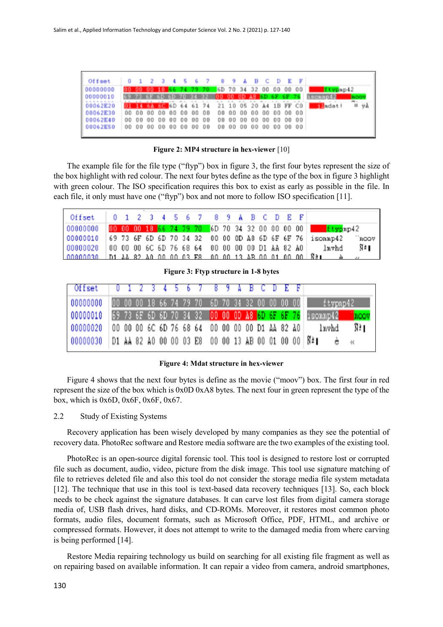| Offmet   |  |                             |  |  | 0 1 2 3 4 5 6 7 8 9 A B C D E F |  |  |  |                                                               |    |
|----------|--|-----------------------------|--|--|---------------------------------|--|--|--|---------------------------------------------------------------|----|
| 00000000 |  |                             |  |  |                                 |  |  |  | 00 00 00 18 66 74 79 70 6D 70 34 32 00 00 00 00   [typep42]   |    |
| 00000010 |  |                             |  |  |                                 |  |  |  | 69 73 6F 6D 6D 70 34 32 00 00 0D A8 6D 6F 6F 76 isonap42      |    |
| 00062E20 |  | <b><i><u>AAAAAA</u></i></b> |  |  |                                 |  |  |  | <b>03 LEGA 60 6D 64 61 74 21 10 05 20 A4 1B FF CO Lindati</b> | ΨÀ |
| 00062E30 |  |                             |  |  |                                 |  |  |  |                                                               |    |
| 00062E40 |  |                             |  |  |                                 |  |  |  |                                                               |    |
| 00062E50 |  |                             |  |  |                                 |  |  |  |                                                               |    |

**Figure 2: MP4 structure in hex-viewer** [10]

The example file for the file type ("ftyp") box in figure 3, the first four bytes represent the size of the box highlight with red colour. The next four bytes define as the type of the box in figure 3 highlight with green colour. The ISO specification requires this box to exist as early as possible in the file. In each file, it only must have one ("ftyp") box and not more to follow ISO specification [11].

| Offset 0 1 2 3 4 5 6 7 8 9 A B C D E F                            |  |  |  |  |  |  |  |  |                                                                                       |      |
|-------------------------------------------------------------------|--|--|--|--|--|--|--|--|---------------------------------------------------------------------------------------|------|
|                                                                   |  |  |  |  |  |  |  |  | 00000000 00 00 00 18 66 74 79 70 6D 70 34 32 00 00 00 00 the type p42                 |      |
| 00000010 69 73 6F 6D 6D 70 34 32 00 00 0D A8 6D 6F 6F 76 isonmp42 |  |  |  |  |  |  |  |  |                                                                                       | noov |
|                                                                   |  |  |  |  |  |  |  |  | 00000020  00 00 00 6C 6D 76 68 64 00 00 00 00 D1 AA 82 A0   1mvhd   $\tilde{N}^a$     |      |
|                                                                   |  |  |  |  |  |  |  |  | 00000030 D1 AA 82 A0 00 00 03 E8 00 00 13 AB 00 01 00 00 $\overline{N}$ 3 ab $\alpha$ |      |

**Figure 3: Ftyp structure in 1-8 bytes**

| Offset   0 1 2 3 4 5 6 7 8 9 A B C D E F                                |  |  |  |  |  |  |  |  |  |      |
|-------------------------------------------------------------------------|--|--|--|--|--|--|--|--|--|------|
| 000000000 00 00 00 18 66 74 79 70 6D 70 34 32 00 00 00 00 00 ftypnp42   |  |  |  |  |  |  |  |  |  |      |
| 00000010 69 73 6F 6D 6D 70 34 32 00 00 0D A8 6D 6F 6F 76 180000042 hoov |  |  |  |  |  |  |  |  |  |      |
| 00000020 00 00 00 6C 6D 76 68 64 00 00 00 00 D1 AA 82 A0 1nvhd          |  |  |  |  |  |  |  |  |  | N: 1 |
| 00000030 D1 AA 82 A0 00 00 03 E8 00 00 13 AB 00 01 00 00 N21            |  |  |  |  |  |  |  |  |  |      |

**Figure 4: Mdat structure in hex-viewer**

Figure 4 shows that the next four bytes is define as the movie ("moov") box. The first four in red represent the size of the box which is 0x0D 0xA8 bytes. The next four in green represent the type of the box, which is 0x6D, 0x6F, 0x6F, 0x67.

#### 2.2 Study of Existing Systems

Recovery application has been wisely developed by many companies as they see the potential of recovery data. PhotoRec software and Restore media software are the two examples of the existing tool.

PhotoRec is an open-source digital forensic tool. This tool is designed to restore lost or corrupted file such as document, audio, video, picture from the disk image. This tool use signature matching of file to retrieves deleted file and also this tool do not consider the storage media file system metadata [12]. The technique that use in this tool is text-based data recovery techniques [13]. So, each block needs to be check against the signature databases. It can carve lost files from digital camera storage media of, USB flash drives, hard disks, and CD-ROMs. Moreover, it restores most common photo formats, audio files, document formats, such as Microsoft Office, PDF, HTML, and archive or compressed formats. However, it does not attempt to write to the damaged media from where carving is being performed [14].

Restore Media repairing technology us build on searching for all existing file fragment as well as on repairing based on available information. It can repair a video from camera, android smartphones,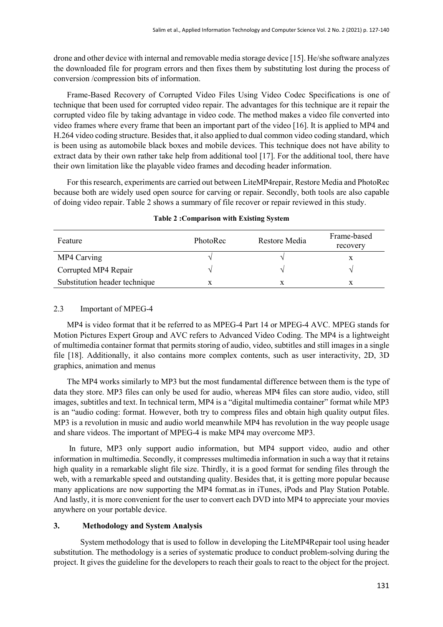drone and other device with internal and removable media storage device [15]. He/she software analyzes the downloaded file for program errors and then fixes them by substituting lost during the process of conversion /compression bits of information.

Frame-Based Recovery of Corrupted Video Files Using Video Codec Specifications is one of technique that been used for corrupted video repair. The advantages for this technique are it repair the corrupted video file by taking advantage in video code. The method makes a video file converted into video frames where every frame that been an important part of the video [16]. It is applied to MP4 and H.264 video coding structure. Besides that, it also applied to dual common video coding standard, which is been using as automobile black boxes and mobile devices. This technique does not have ability to extract data by their own rather take help from additional tool [17]. For the additional tool, there have their own limitation like the playable video frames and decoding header information.

For this research, experiments are carried out between LiteMP4repair, Restore Media and PhotoRec because both are widely used open source for carving or repair. Secondly, both tools are also capable of doing video repair. Table 2 shows a summary of file recover or repair reviewed in this study.

| Feature                       | PhotoRec | Restore Media | Frame-based<br>recovery |
|-------------------------------|----------|---------------|-------------------------|
| MP4 Carving                   |          |               |                         |
| Corrupted MP4 Repair          |          |               |                         |
| Substitution header technique |          |               |                         |

#### **Table 2 :Comparison with Existing System**

#### 2.3 Important of MPEG-4

MP4 is video format that it be referred to as MPEG-4 Part 14 or MPEG-4 AVC. MPEG stands for Motion Pictures Expert Group and AVC refers to Advanced Video Coding. The MP4 is a lightweight of multimedia container format that permits storing of audio, video, subtitles and still images in a single file [18]. Additionally, it also contains more complex contents, such as user interactivity, 2D, 3D graphics, animation and menus

The MP4 works similarly to MP3 but the most fundamental difference between them is the type of data they store. MP3 files can only be used for audio, whereas MP4 files can store audio, video, still images, subtitles and text. In technical term, MP4 is a "digital multimedia container" format while MP3 is an "audio coding: format. However, both try to compress files and obtain high quality output files. MP3 is a revolution in music and audio world meanwhile MP4 has revolution in the way people usage and share videos. The important of MPEG-4 is make MP4 may overcome MP3.

In future, MP3 only support audio information, but MP4 support video, audio and other information in multimedia. Secondly, it compresses multimedia information in such a way that it retains high quality in a remarkable slight file size. Thirdly, it is a good format for sending files through the web, with a remarkable speed and outstanding quality. Besides that, it is getting more popular because many applications are now supporting the MP4 format.as in iTunes, iPods and Play Station Potable. And lastly, it is more convenient for the user to convert each DVD into MP4 to appreciate your movies anywhere on your portable device.

## **3. Methodology and System Analysis**

System methodology that is used to follow in developing the LiteMP4Repair tool using header substitution. The methodology is a series of systematic produce to conduct problem-solving during the project. It gives the guideline for the developers to reach their goals to react to the object for the project.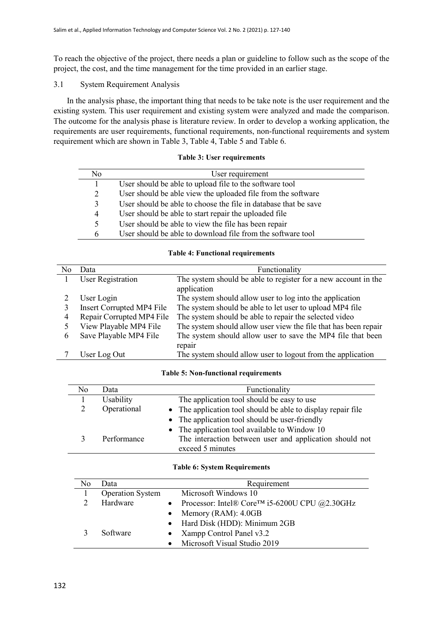To reach the objective of the project, there needs a plan or guideline to follow such as the scope of the project, the cost, and the time management for the time provided in an earlier stage.

## 3.1 System Requirement Analysis

In the analysis phase, the important thing that needs to be take note is the user requirement and the existing system. This user requirement and existing system were analyzed and made the comparison. The outcome for the analysis phase is literature review. In order to develop a working application, the requirements are user requirements, functional requirements, non-functional requirements and system requirement which are shown in Table 3, Table 4, Table 5 and Table 6.

#### **Table 3: User requirements**

| No | User requirement                                                |  |
|----|-----------------------------------------------------------------|--|
|    | User should be able to upload file to the software tool         |  |
| 2  | User should be able view the uploaded file from the software    |  |
| 3  | User should be able to choose the file in database that be save |  |
| 4  | User should be able to start repair the uploaded file           |  |
| 5  | User should be able to view the file has been repair            |  |
| 6  | User should be able to download file from the software tool     |  |

## **Table 4: Functional requirements**

| No. | Data                      | Functionality                                                                 |
|-----|---------------------------|-------------------------------------------------------------------------------|
|     | <b>User Registration</b>  | The system should be able to register for a new account in the<br>application |
|     | User Login                | The system should allow user to log into the application                      |
|     | Insert Corrupted MP4 File | The system should be able to let user to upload MP4 file                      |
| 4   | Repair Corrupted MP4 File | The system should be able to repair the selected video                        |
|     | View Playable MP4 File    | The system should allow user view the file that has been repair               |
| 6   | Save Playable MP4 File    | The system should allow user to save the MP4 file that been                   |
|     |                           | repair                                                                        |
|     | User Log Out              | The system should allow user to logout from the application                   |

#### **Table 5: Non-functional requirements**

| No | Data        | Functionality                                                |
|----|-------------|--------------------------------------------------------------|
|    | Usability   | The application tool should be easy to use                   |
|    | Operational | • The application tool should be able to display repair file |
|    |             | • The application tool should be user-friendly               |
|    |             | • The application tool available to Window 10                |
|    | Performance | The interaction between user and application should not      |
|    |             | exceed 5 minutes                                             |

#### **Table 6: System Requirements**

| No | Data                    | Requirement                                                  |
|----|-------------------------|--------------------------------------------------------------|
|    | <b>Operation System</b> | Microsoft Windows 10                                         |
|    | Hardware                | • Processor: Intel® Core <sup>TM</sup> i5-6200U CPU @2.30GHz |
|    |                         | Memory (RAM): 4.0GB                                          |
|    |                         | • Hard Disk (HDD): Minimum 2GB                               |
|    | Software                | • Xampp Control Panel $v3.2$                                 |
|    |                         | Microsoft Visual Studio 2019                                 |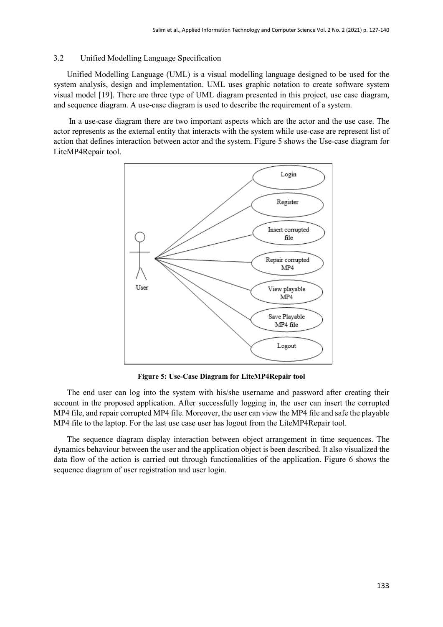#### 3.2 Unified Modelling Language Specification

Unified Modelling Language (UML) is a visual modelling language designed to be used for the system analysis, design and implementation. UML uses graphic notation to create software system visual model [19]. There are three type of UML diagram presented in this project, use case diagram, and sequence diagram. A use-case diagram is used to describe the requirement of a system.

In a use-case diagram there are two important aspects which are the actor and the use case. The actor represents as the external entity that interacts with the system while use-case are represent list of action that defines interaction between actor and the system. Figure 5 shows the Use-case diagram for LiteMP4Repair tool.



**Figure 5: Use-Case Diagram for LiteMP4Repair tool**

The end user can log into the system with his/she username and password after creating their account in the proposed application. After successfully logging in, the user can insert the corrupted MP4 file, and repair corrupted MP4 file. Moreover, the user can view the MP4 file and safe the playable MP4 file to the laptop. For the last use case user has logout from the LiteMP4Repair tool.

The sequence diagram display interaction between object arrangement in time sequences. The dynamics behaviour between the user and the application object is been described. It also visualized the data flow of the action is carried out through functionalities of the application. Figure 6 shows the sequence diagram of user registration and user login.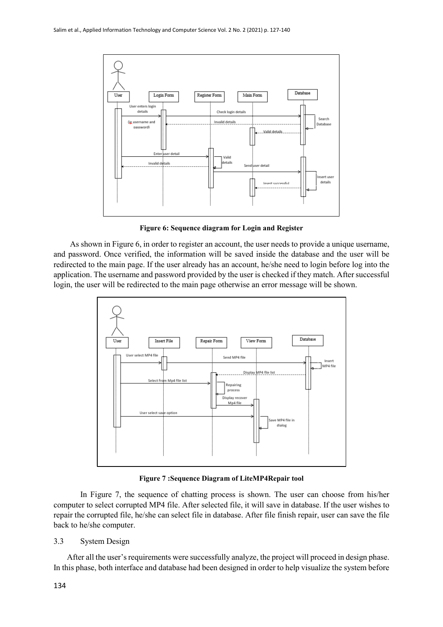

**Figure 6: Sequence diagram for Login and Register**

 As shown in Figure 6, in order to register an account, the user needs to provide a unique username, and password. Once verified, the information will be saved inside the database and the user will be redirected to the main page. If the user already has an account, he/she need to login before log into the application. The username and password provided by the user is checked if they match. After successful login, the user will be redirected to the main page otherwise an error message will be shown.



**Figure 7 :Sequence Diagram of LiteMP4Repair tool**

In Figure 7, the sequence of chatting process is shown. The user can choose from his/her computer to select corrupted MP4 file. After selected file, it will save in database. If the user wishes to repair the corrupted file, he/she can select file in database. After file finish repair, user can save the file back to he/she computer.

## 3.3 System Design

After all the user's requirements were successfully analyze, the project will proceed in design phase. In this phase, both interface and database had been designed in order to help visualize the system before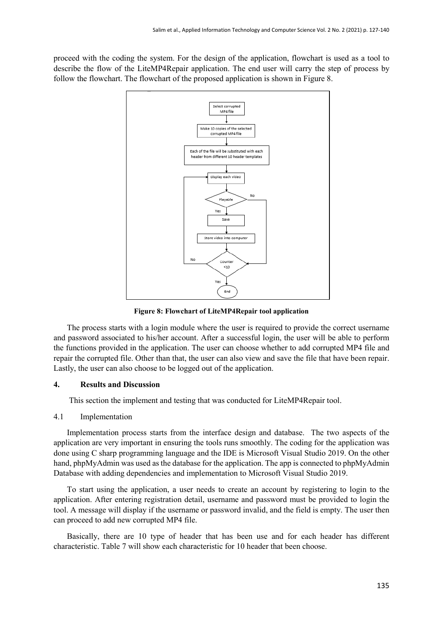proceed with the coding the system. For the design of the application, flowchart is used as a tool to describe the flow of the LiteMP4Repair application. The end user will carry the step of process by follow the flowchart. The flowchart of the proposed application is shown in Figure 8.



**Figure 8: Flowchart of LiteMP4Repair tool application**

The process starts with a login module where the user is required to provide the correct username and password associated to his/her account. After a successful login, the user will be able to perform the functions provided in the application. The user can choose whether to add corrupted MP4 file and repair the corrupted file. Other than that, the user can also view and save the file that have been repair. Lastly, the user can also choose to be logged out of the application.

## **4. Results and Discussion**

This section the implement and testing that was conducted for LiteMP4Repair tool.

## 4.1 Implementation

Implementation process starts from the interface design and database. The two aspects of the application are very important in ensuring the tools runs smoothly. The coding for the application was done using C sharp programming language and the IDE is Microsoft Visual Studio 2019. On the other hand, phpMyAdmin was used as the database for the application. The app is connected to phpMyAdmin Database with adding dependencies and implementation to Microsoft Visual Studio 2019.

To start using the application, a user needs to create an account by registering to login to the application. After entering registration detail, username and password must be provided to login the tool. A message will display if the username or password invalid, and the field is empty. The user then can proceed to add new corrupted MP4 file.

Basically, there are 10 type of header that has been use and for each header has different characteristic. Table 7 will show each characteristic for 10 header that been choose.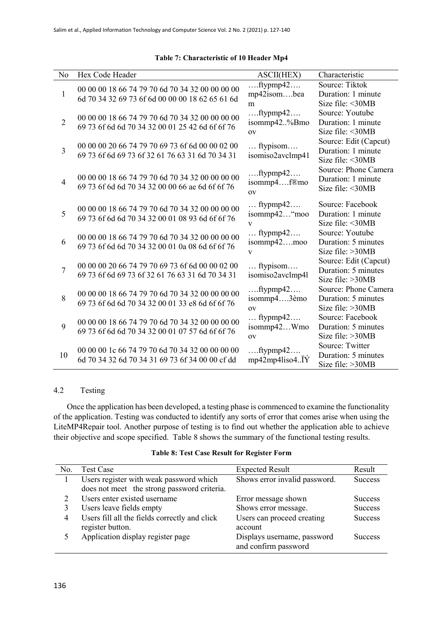| No             | Hex Code Header                                 | ASCII(HEX)                                | Characteristic                               |
|----------------|-------------------------------------------------|-------------------------------------------|----------------------------------------------|
| 1              | 00 00 00 18 66 74 79 70 6d 70 34 32 00 00 00 00 | $ftypmp42$<br>mp42isombea                 | Source: Tiktok<br>Duration: 1 minute         |
|                | 6d 70 34 32 69 73 6f 6d 00 00 00 18 62 65 61 6d | m                                         | Size file: <30MB                             |
| $\overline{2}$ | 00 00 00 18 66 74 79 70 6d 70 34 32 00 00 00 00 | $ftypmp42$<br>isommp42%Bmo                | Source: Youtube<br>Duration: 1 minute        |
|                | 69 73 6f 6d 6d 70 34 32 00 01 25 42 6d 6f 6f 76 | <b>OV</b>                                 | Size file: <30MB                             |
| 3              | 00 00 00 20 66 74 79 70 69 73 6f 6d 00 00 02 00 | ftypisom                                  | Source: Edit (Capcut)<br>Duration: 1 minute  |
|                | 69 73 6f 6d 69 73 6f 32 61 76 63 31 6d 70 34 31 | isomiso2avclmp41                          | Size file: <30MB                             |
| $\overline{4}$ | 00 00 00 18 66 74 79 70 6d 70 34 32 00 00 00 00 | $ftypmp42$<br>isommp4f®mo                 | Source: Phone Camera<br>Duration: 1 minute   |
|                | 69 73 6f 6d 6d 70 34 32 00 00 66 ae 6d 6f 6f 76 | O <sub>V</sub>                            | Size file: <30MB                             |
|                | 00 00 00 18 66 74 79 70 6d 70 34 32 00 00 00 00 | $\ldots$ ftypmp42 $\ldots$                | Source: Facebook                             |
| 5              | 69 73 6f 6d 6d 70 34 32 00 01 08 93 6d 6f 6f 76 | isommp42"moo<br>$\overline{\mathbf{V}}$   | Duration: 1 minute<br>Size file: <30MB       |
| 6              | 00 00 00 18 66 74 79 70 6d 70 34 32 00 00 00 00 | $\ldots$ ftypmp42 $\ldots$                | Source: Youtube<br>Duration: 5 minutes       |
|                | 69 73 6f 6d 6d 70 34 32 00 01 0a 08 6d 6f 6f 76 | isommp42moo<br>$\overline{\mathbf{V}}$    | Size file: >30MB                             |
| 7              | 00 00 00 20 66 74 79 70 69 73 6f 6d 00 00 02 00 | ftypisom                                  | Source: Edit (Capcut)<br>Duration: 5 minutes |
|                | 69 73 6f 6d 69 73 6f 32 61 76 63 31 6d 70 34 31 | isomiso2avclmp4l                          | Size file: >30MB                             |
| 8              | 00 00 00 18 66 74 79 70 6d 70 34 32 00 00 00 00 | $ftypmp42$<br>isommp43èmo                 | Source: Phone Camera<br>Duration: 5 minutes  |
|                | 69 73 6f 6d 6d 70 34 32 00 01 33 e8 6d 6f 6f 76 | O <sub>V</sub>                            | Size file: >30MB                             |
| 9              | 00 00 00 18 66 74 79 70 6d 70 34 32 00 00 00 00 | $\ldots$ ftypmp42 $\ldots$<br>isommp42Wmo | Source: Facebook<br>Duration: 5 minutes      |
|                | 69 73 6f 6d 6d 70 34 32 00 01 07 57 6d 6f 6f 76 | O <sub>V</sub>                            | Size file: >30MB                             |
| 10             | 00 00 00 1c 66 74 79 70 6d 70 34 32 00 00 00 00 | $ftypmp42$                                | Source: Twitter<br>Duration: 5 minutes       |
|                | 6d 70 34 32 6d 70 34 31 69 73 6f 34 00 00 cf dd | mp42mp4liso4IY                            | Size file: >30MB                             |

#### **Table 7: Characteristic of 10 Header Mp4**

## 4.2 Testing

Once the application has been developed, a testing phase is commenced to examine the functionality of the application. Testing was conducted to identify any sorts of error that comes arise when using the LiteMP4Repair tool. Another purpose of testing is to find out whether the application able to achieve their objective and scope specified. Table 8 shows the summary of the functional testing results.

#### **Table 8: Test Case Result for Register Form**

| No. | <b>Test Case</b>                              | <b>Expected Result</b>        | Result         |
|-----|-----------------------------------------------|-------------------------------|----------------|
|     | Users register with weak password which       | Shows error invalid password. | <b>Success</b> |
|     | does not meet the strong password criteria.   |                               |                |
|     | Users enter existed username                  | Error message shown           | <b>Success</b> |
|     | Users leave fields empty                      | Shows error message.          | <b>Success</b> |
| 4   | Users fill all the fields correctly and click | Users can proceed creating    | <b>Success</b> |
|     | register button.                              | account                       |                |
|     | Application display register page             | Displays username, password   | <b>Success</b> |
|     |                                               | and confirm password          |                |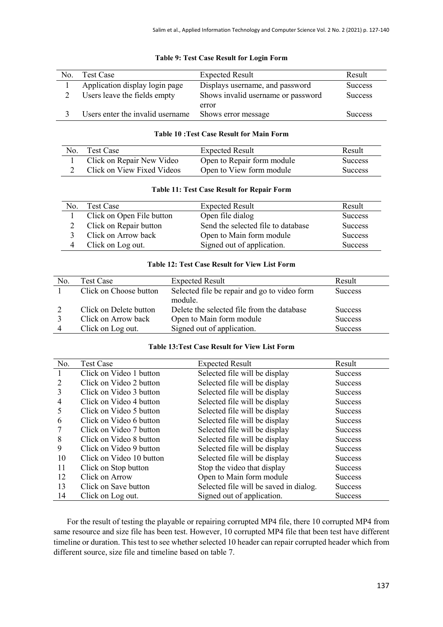| No. | <b>Test Case</b>                 | <b>Expected Result</b>             | Result         |
|-----|----------------------------------|------------------------------------|----------------|
|     | Application display login page   | Displays username, and password    | <b>Success</b> |
|     | Users leave the fields empty     | Shows invalid username or password | <b>Success</b> |
|     |                                  | error                              |                |
|     | Users enter the invalid username | Shows error message                | <b>Success</b> |

#### **Table 9: Test Case Result for Login Form**

## **Table 10 :Test Case Result for Main Form**

| No. | <b>Test Case</b>           | <b>Expected Result</b>     | Result         |
|-----|----------------------------|----------------------------|----------------|
|     | Click on Repair New Video  | Open to Repair form module | <b>Success</b> |
|     | Click on View Fixed Videos | Open to View form module   | Success        |

| <b>Table 11: Test Case Result for Repair Form</b> |  |  |  |  |  |  |  |
|---------------------------------------------------|--|--|--|--|--|--|--|
|---------------------------------------------------|--|--|--|--|--|--|--|

| Nο. | <b>Test Case</b>          | <b>Expected Result</b>             | Result         |
|-----|---------------------------|------------------------------------|----------------|
|     | Click on Open File button | Open file dialog                   | <b>Success</b> |
|     | Click on Repair button    | Send the selected file to database | <b>Success</b> |
|     | Click on Arrow back       | Open to Main form module           | <b>Success</b> |
|     | Click on Log out.         | Signed out of application.         | <b>Success</b> |

## **Table 12: Test Case Result for View List Form**

| No. | Test Case              | <b>Expected Result</b>                       | Result         |
|-----|------------------------|----------------------------------------------|----------------|
|     | Click on Choose button | Selected file be repair and go to video form | <b>Success</b> |
|     |                        | module.                                      |                |
|     | Click on Delete button | Delete the selected file from the database   | <b>Success</b> |
|     | Click on Arrow back    | Open to Main form module                     | <b>Success</b> |
|     | Click on Log out.      | Signed out of application.                   | <b>Success</b> |

#### **Table 13:Test Case Result for View List Form**

| No. | <b>Test Case</b>         | <b>Expected Result</b>                 | Result         |
|-----|--------------------------|----------------------------------------|----------------|
|     | Click on Video 1 button  | Selected file will be display          | <b>Success</b> |
|     | Click on Video 2 button  | Selected file will be display          | <b>Success</b> |
| 3   | Click on Video 3 button  | Selected file will be display          | <b>Success</b> |
| 4   | Click on Video 4 button  | Selected file will be display          | <b>Success</b> |
| 5   | Click on Video 5 button  | Selected file will be display          | <b>Success</b> |
| 6   | Click on Video 6 button  | Selected file will be display          | <b>Success</b> |
|     | Click on Video 7 button  | Selected file will be display          | <b>Success</b> |
| 8   | Click on Video 8 button  | Selected file will be display          | <b>Success</b> |
| 9   | Click on Video 9 button  | Selected file will be display          | <b>Success</b> |
| 10  | Click on Video 10 button | Selected file will be display          | <b>Success</b> |
| 11  | Click on Stop button     | Stop the video that display            | <b>Success</b> |
| 12  | Click on Arrow           | Open to Main form module               | <b>Success</b> |
| 13  | Click on Save button     | Selected file will be saved in dialog. | <b>Success</b> |
| 14  | Click on Log out.        | Signed out of application.             | <b>Success</b> |

For the result of testing the playable or repairing corrupted MP4 file, there 10 corrupted MP4 from same resource and size file has been test. However, 10 corrupted MP4 file that been test have different timeline or duration. This test to see whether selected 10 header can repair corrupted header which from different source, size file and timeline based on table 7.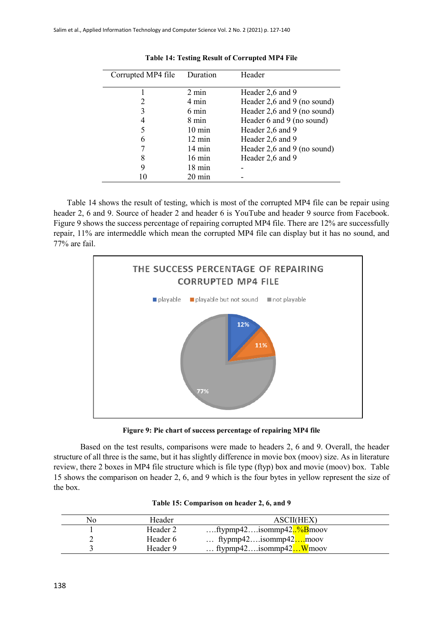| Corrupted MP4 file | Duration         | Header                      |
|--------------------|------------------|-----------------------------|
|                    | $2 \text{ min}$  | Header 2,6 and 9            |
|                    | 4 min            | Header 2,6 and 9 (no sound) |
| 3                  | 6 min            | Header 2,6 and 9 (no sound) |
|                    | 8 min            | Header 6 and 9 (no sound)   |
|                    | $10 \text{ min}$ | Header 2,6 and 9            |
| 6                  | $12 \text{ min}$ | Header 2,6 and 9            |
|                    | $14 \text{ min}$ | Header 2,6 and 9 (no sound) |
| 8                  | $16 \text{ min}$ | Header 2,6 and 9            |
| 9                  | $18 \text{ min}$ |                             |
|                    | 20 min           |                             |

**Table 14: Testing Result of Corrupted MP4 File**

Table 14 shows the result of testing, which is most of the corrupted MP4 file can be repair using header 2, 6 and 9. Source of header 2 and header 6 is YouTube and header 9 source from Facebook. Figure 9 shows the success percentage of repairing corrupted MP4 file. There are 12% are successfully repair, 11% are intermeddle which mean the corrupted MP4 file can display but it has no sound, and 77% are fail.



**Figure 9: Pie chart of success percentage of repairing MP4 file**

Based on the test results, comparisons were made to headers 2, 6 and 9. Overall, the header structure of all three is the same, but it has slightly difference in movie box (moov) size. As in literature review, there 2 boxes in MP4 file structure which is file type (ftyp) box and movie (moov) box. Table 15 shows the comparison on header 2, 6, and 9 which is the four bytes in yellow represent the size of the box.

| No | Header   | ASCII(HEX)                            |
|----|----------|---------------------------------------|
|    | Header 2 | ftypmp42isommp42 <mark>%B</mark> moov |
|    | Header 6 | $\ldots$ ftypmp42sommp42moov          |
|    | Header 9 | ftypmp42sommp42 $\ldots$ Wmoov        |

| Table 15: Comparison on header 2, 6, and 9 |  |
|--------------------------------------------|--|
|--------------------------------------------|--|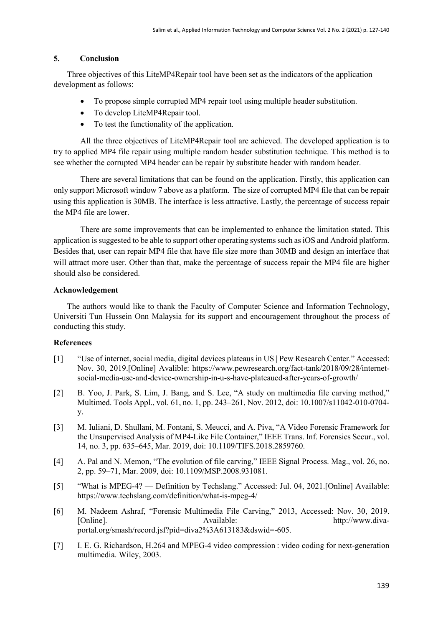## **5. Conclusion**

Three objectives of this LiteMP4Repair tool have been set as the indicators of the application development as follows:

- To propose simple corrupted MP4 repair tool using multiple header substitution.
- To develop LiteMP4Repair tool.
- To test the functionality of the application.

All the three objectives of LiteMP4Repair tool are achieved. The developed application is to try to applied MP4 file repair using multiple random header substitution technique. This method is to see whether the corrupted MP4 header can be repair by substitute header with random header.

There are several limitations that can be found on the application. Firstly, this application can only support Microsoft window 7 above as a platform. The size of corrupted MP4 file that can be repair using this application is 30MB. The interface is less attractive. Lastly, the percentage of success repair the MP4 file are lower.

There are some improvements that can be implemented to enhance the limitation stated. This application is suggested to be able to support other operating systems such asiOS and Android platform. Besides that, user can repair MP4 file that have file size more than 30MB and design an interface that will attract more user. Other than that, make the percentage of success repair the MP4 file are higher should also be considered.

## **Acknowledgement**

The authors would like to thank the Faculty of Computer Science and Information Technology, Universiti Tun Hussein Onn Malaysia for its support and encouragement throughout the process of conducting this study.

## **References**

- [1] "Use of internet, social media, digital devices plateaus in US | Pew Research Center." Accessed: Nov. 30, 2019.[Online] Avalible: https://www.pewresearch.org/fact-tank/2018/09/28/internetsocial-media-use-and-device-ownership-in-u-s-have-plateaued-after-years-of-growth/
- [2] B. Yoo, J. Park, S. Lim, J. Bang, and S. Lee, "A study on multimedia file carving method," Multimed. Tools Appl., vol. 61, no. 1, pp. 243–261, Nov. 2012, doi: 10.1007/s11042-010-0704 y.
- [3] M. Iuliani, D. Shullani, M. Fontani, S. Meucci, and A. Piva, "A Video Forensic Framework for the Unsupervised Analysis of MP4-Like File Container," IEEE Trans. Inf. Forensics Secur., vol. 14, no. 3, pp. 635–645, Mar. 2019, doi: 10.1109/TIFS.2018.2859760.
- [4] A. Pal and N. Memon, "The evolution of file carving," IEEE Signal Process. Mag., vol. 26, no. 2, pp. 59–71, Mar. 2009, doi: 10.1109/MSP.2008.931081.
- [5] "What is MPEG-4? Definition by Techslang." Accessed: Jul. 04, 2021.[Online] Available: https://www.techslang.com/definition/what-is-mpeg-4/
- [6] M. Nadeem Ashraf, "Forensic Multimedia File Carving," 2013, Accessed: Nov. 30, 2019. [Online]. Available: http://www.divaportal.org/smash/record.jsf?pid=diva2%3A613183&dswid=-605.
- [7] I. E. G. Richardson, H.264 and MPEG-4 video compression : video coding for next-generation multimedia. Wiley, 2003.